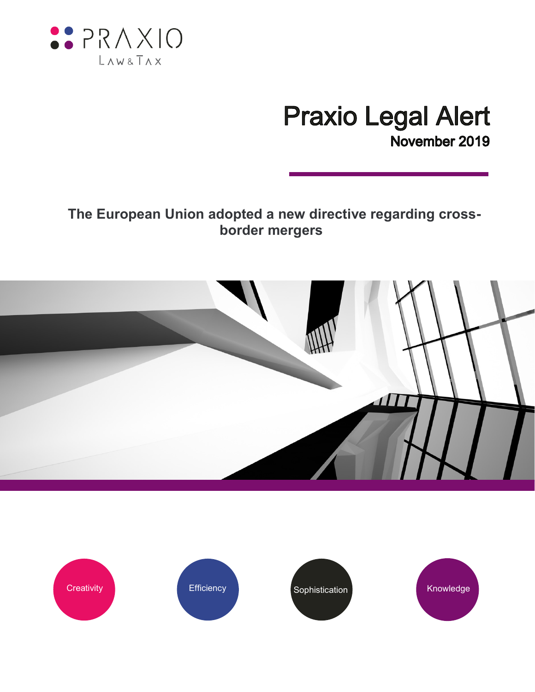

# **Praxio Legal Alert** November 2019

# **The European Union adopted a new directive regarding crossborder mergers**



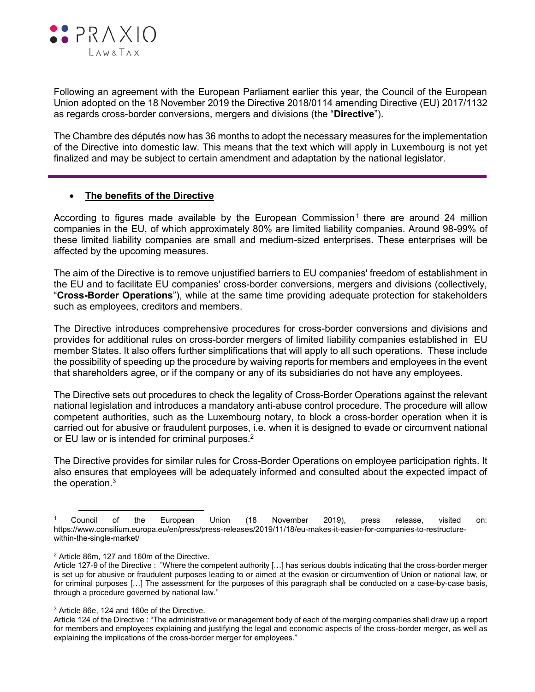

Following an agreement with the European Parliament earlier this year, the Council of the European Union adopted on the 18 November 2019 the Directive 2018/0114 amending Directive (EU) 2017/1132 as regards cross-border conversions, mergers and divisions (the "**Directive**").

The Chambre des députés now has 36 months to adopt the necessary measures for the implementation of the Directive into domestic law. This means that the text which will apply in Luxembourg is not yet finalized and may be subject to certain amendment and adaptation by the national legislator.

## **The benefits of the Directive**

According to figures made available by the European Commission<sup>1</sup> there are around 24 million companies in the EU, of which approximately 80% are limited liability companies. Around 98-99% of these limited liability companies are small and medium-sized enterprises. These enterprises will be affected by the upcoming measures.

The aim of the Directive is to remove unjustified barriers to EU companies' freedom of establishment in the EU and to facilitate EU companies' cross-border conversions, mergers and divisions (collectively, "**Cross-Border Operations**"), while at the same time providing adequate protection for stakeholders such as employees, creditors and members.

The Directive introduces comprehensive procedures for cross-border conversions and divisions and provides for additional rules on cross-border mergers of limited liability companies established in EU member States. It also offers further simplifications that will apply to all such operations. These include the possibility of speeding up the procedure by waiving reports for members and employees in the event that shareholders agree, or if the company or any of its subsidiaries do not have any employees.

The Directive sets out procedures to check the legality of Cross-Border Operations against the relevant national legislation and introduces a mandatory anti-abuse control procedure. The procedure will allow competent authorities, such as the Luxembourg notary, to block a cross-border operation when it is carried out for abusive or fraudulent purposes, i.e. when it is designed to evade or circumvent national or EU law or is intended for criminal purposes.<sup>2</sup>

The Directive provides for similar rules for Cross-Border Operations on employee participation rights. It also ensures that employees will be adequately informed and consulted about the expected impact of the operation.<sup>3</sup>

 $\overline{a}$ 

<sup>3</sup> Article 86e, 124 and 160e of the Directive.

<sup>1</sup> Council of the European Union (18 November 2019), press release, visited on: [https://www.consilium.europa.eu/en/press/press-releases/2019/11/18/eu-makes-it-easier-for-companies-to-restructure](https://www.consilium.europa.eu/en/press/press-releases/2019/11/18/eu-makes-it-easier-for-companies-to-restructure-within-the-single-market/)[within-the-single-market/](https://www.consilium.europa.eu/en/press/press-releases/2019/11/18/eu-makes-it-easier-for-companies-to-restructure-within-the-single-market/)

<sup>2</sup> Article 86m, 127 and 160m of the Directive.

Article 127-9 of the Directive : "Where the competent authority […] has serious doubts indicating that the cross-border merger is set up for abusive or fraudulent purposes leading to or aimed at the evasion or circumvention of Union or national law, or for criminal purposes […] The assessment for the purposes of this paragraph shall be conducted on a case-by-case basis, through a procedure governed by national law."

Article 124 of the Directive : "The administrative or management body of each of the merging companies shall draw up a report for members and employees explaining and justifying the legal and economic aspects of the cross-border merger, as well as explaining the implications of the cross-border merger for employees."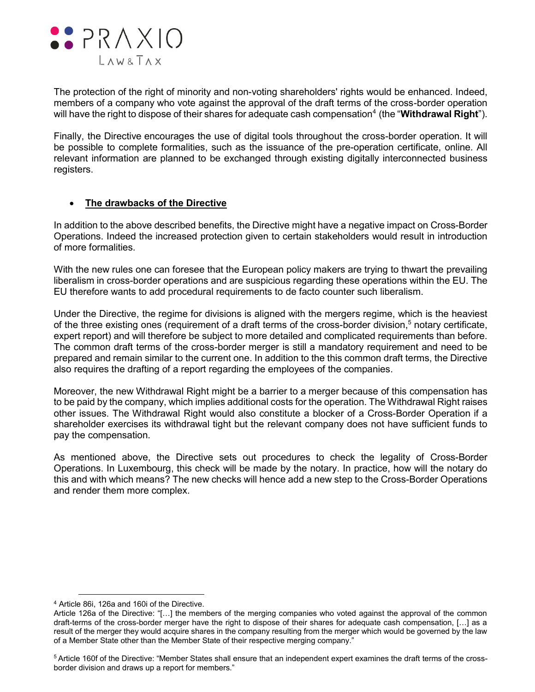

The protection of the right of minority and non-voting shareholders' rights would be enhanced. Indeed, members of a company who vote against the approval of the draft terms of the cross-border operation will have the right to dispose of their shares for adequate cash compensation<sup>4</sup> (the "**Withdrawal Right**").

Finally, the Directive encourages the use of digital tools throughout the cross-border operation. It will be possible to complete formalities, such as the issuance of the pre-operation certificate, online. All relevant information are planned to be exchanged through existing digitally interconnected business registers.

## **The drawbacks of the Directive**

In addition to the above described benefits, the Directive might have a negative impact on Cross-Border Operations. Indeed the increased protection given to certain stakeholders would result in introduction of more formalities.

With the new rules one can foresee that the European policy makers are trying to thwart the prevailing liberalism in cross-border operations and are suspicious regarding these operations within the EU. The EU therefore wants to add procedural requirements to de facto counter such liberalism.

Under the Directive, the regime for divisions is aligned with the mergers regime, which is the heaviest of the three existing ones (requirement of a draft terms of the cross-border division,<sup>5</sup> notary certificate, expert report) and will therefore be subject to more detailed and complicated requirements than before. The common draft terms of the cross-border merger is still a mandatory requirement and need to be prepared and remain similar to the current one. In addition to the this common draft terms, the Directive also requires the drafting of a report regarding the employees of the companies.

Moreover, the new Withdrawal Right might be a barrier to a merger because of this compensation has to be paid by the company, which implies additional costs for the operation. The Withdrawal Right raises other issues. The Withdrawal Right would also constitute a blocker of a Cross-Border Operation if a shareholder exercises its withdrawal tight but the relevant company does not have sufficient funds to pay the compensation.

As mentioned above, the Directive sets out procedures to check the legality of Cross-Border Operations. In Luxembourg, this check will be made by the notary. In practice, how will the notary do this and with which means? The new checks will hence add a new step to the Cross-Border Operations and render them more complex.

 $\overline{a}$ 

<sup>4</sup> Article 86i, 126a and 160i of the Directive.

Article 126a of the Directive: "[…] the members of the merging companies who voted against the approval of the common draft-terms of the cross-border merger have the right to dispose of their shares for adequate cash compensation, […] as a result of the merger they would acquire shares in the company resulting from the merger which would be governed by the law of a Member State other than the Member State of their respective merging company."

<sup>5</sup> Article 160f of the Directive: "Member States shall ensure that an independent expert examines the draft terms of the crossborder division and draws up a report for members."